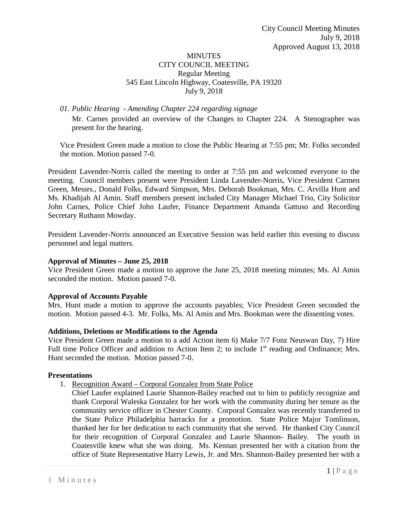#### MINUTES CITY COUNCIL MEETING Regular Meeting 545 East Lincoln Highway, Coatesville, PA 19320 July 9, 2018

*01. Public Hearing - Amending Chapter 224 regarding signage*

Mr. Carnes provided an overview of the Changes to Chapter 224. A Stenographer was present for the hearing.

Vice President Green made a motion to close the Public Hearing at 7:55 pm; Mr. Folks seconded the motion. Motion passed 7-0.

President Lavender-Norris called the meeting to order at 7:55 pm and welcomed everyone to the meeting. Council members present were President Linda Lavender-Norris, Vice President Carmen Green, Messrs., Donald Folks, Edward Simpson, Mrs. Deborah Bookman, Mrs. C. Arvilla Hunt and Ms. Khadijah Al Amin. Staff members present included City Manager Michael Trio, City Solicitor John Carnes, Police Chief John Laufer, Finance Department Amanda Gattuso and Recording Secretary Ruthann Mowday.

President Lavender-Norris announced an Executive Session was held earlier this evening to discuss personnel and legal matters.

#### **Approval of Minutes – June 25, 2018**

Vice President Green made a motion to approve the June 25, 2018 meeting minutes; Ms. Al Amin seconded the motion. Motion passed 7-0.

# **Approval of Accounts Payable**

Mrs. Hunt made a motion to approve the accounts payables; Vice President Green seconded the motion. Motion passed 4-3. Mr. Folks, Ms. Al Amin and Mrs. Bookman were the dissenting votes.

# **Additions, Deletions or Modifications to the Agenda**

Vice President Green made a motion to a add Action item 6) Make 7/7 Fonz Neuswan Day, 7) Hire Full time Police Officer and addition to Action Item 2; to include  $1<sup>st</sup>$  reading and Ordinance; Mrs. Hunt seconded the motion. Motion passed 7-0.

#### **Presentations**

- 1. Recognition Award Corporal Gonzalez from State Police
	- Chief Laufer explained Laurie Shannon-Bailey reached out to him to publicly recognize and thank Corporal Waleska Gonzalez for her work with the community during her tenure as the community service officer in Chester County. Corporal Gonzalez was recently transferred to the State Police Philadelphia barracks for a promotion. State Police Major Tomlinson, thanked her for her dedication to each community that she served. He thanked City Council for their recognition of Corporal Gonzalez and Laurie Shannon- Bailey. The youth in Coatesville knew what she was doing. Ms. Kennan presented her with a citation from the office of State Representative Harry Lewis, Jr. and Mrs. Shannon-Bailey presented her with a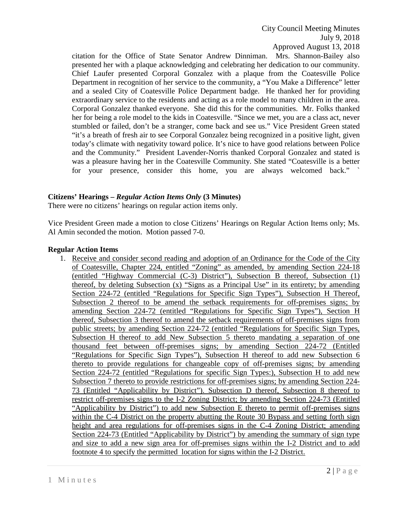citation for the Office of State Senator Andrew Dinniman. Mrs. Shannon-Bailey also presented her with a plaque acknowledging and celebrating her dedication to our community. Chief Laufer presented Corporal Gonzalez with a plaque from the Coatesville Police Department in recognition of her service to the community, a "You Make a Difference" letter and a sealed City of Coatesville Police Department badge. He thanked her for providing extraordinary service to the residents and acting as a role model to many children in the area. Corporal Gonzalez thanked everyone. She did this for the communities. Mr. Folks thanked her for being a role model to the kids in Coatesville. "Since we met, you are a class act, never stumbled or failed, don't be a stranger, come back and see us." Vice President Green stated "it's a breath of fresh air to see Corporal Gonzalez being recognized in a positive light, given today's climate with negativity toward police. It's nice to have good relations between Police and the Community." President Lavender-Norris thanked Corporal Gonzalez and stated is was a pleasure having her in the Coatesville Community. She stated "Coatesville is a better for your presence, consider this home, you are always welcomed back." `

# **Citizens' Hearings –** *Regular Action Items Only* **(3 Minutes)**

There were no citizens' hearings on regular action items only.

Vice President Green made a motion to close Citizens' Hearings on Regular Action Items only; Ms. Al Amin seconded the motion. Motion passed 7-0.

#### **Regular Action Items**

1. Receive and consider second reading and adoption of an Ordinance for the Code of the City of Coatesville, Chapter 224, entitled "Zoning" as amended, by amending Section 224-18 (entitled "Highway Commercial (C-3) District"), Subsection B thereof, Subsection (1) thereof, by deleting Subsection (x) "Signs as a Principal Use" in its entirety; by amending Section 224-72 (entitled "Regulations for Specific Sign Types"), Subsection H Thereof, Subsection 2 thereof to be amend the setback requirements for off-premises signs; by amending Section 224-72 (entitled "Regulations for Specific Sign Types"), Section H thereof, Subsection 3 thereof to amend the setback requirements of off-premises signs from public streets; by amending Section 224-72 (entitled "Regulations for Specific Sign Types, Subsection H thereof to add New Subsection 5 thereto mandating a separation of one thousand feet between off-premises signs; by amending Section 224-72 (Entitled "Regulations for Specific Sign Types"), Subsection H thereof to add new Subsection 6 thereto to provide regulations for changeable copy of off-premises signs; by amending Section 224-72 (entitled "Regulations for specific Sign Types:), Subsection H to add new Subsection 7 thereto to provide restrictions for off-premises signs; by amending Section 224- 73 (Entitled "Applicability by District"). Subsection D thereof, Subsection 8 thereof to restrict off-premises signs to the I-2 Zoning District; by amending Section 224-73 (Entitled "Applicability by District") to add new Subsection E thereto to permit off-premises signs within the C-4 District on the property abutting the Route 30 Bypass and setting forth sign height and area regulations for off-premises signs in the C-4 Zoning District; amending Section 224-73 (Entitled "Applicability by District") by amending the summary of sign type and size to add a new sign area for off-premises signs within the I-2 District and to add footnote 4 to specify the permitted location for signs within the I-2 District.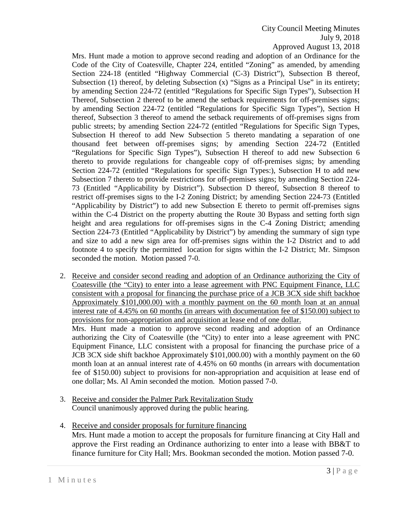City Council Meeting Minutes July 9, 2018

Approved August 13, 2018

Mrs. Hunt made a motion to approve second reading and adoption of an Ordinance for the Code of the City of Coatesville, Chapter 224, entitled "Zoning" as amended, by amending Section 224-18 (entitled "Highway Commercial (C-3) District"), Subsection B thereof, Subsection (1) thereof, by deleting Subsection  $(x)$  "Signs as a Principal Use" in its entirety; by amending Section 224-72 (entitled "Regulations for Specific Sign Types"), Subsection H Thereof, Subsection 2 thereof to be amend the setback requirements for off-premises signs; by amending Section 224-72 (entitled "Regulations for Specific Sign Types"), Section H thereof, Subsection 3 thereof to amend the setback requirements of off-premises signs from public streets; by amending Section 224-72 (entitled "Regulations for Specific Sign Types, Subsection H thereof to add New Subsection 5 thereto mandating a separation of one thousand feet between off-premises signs; by amending Section 224-72 (Entitled "Regulations for Specific Sign Types"), Subsection H thereof to add new Subsection 6 thereto to provide regulations for changeable copy of off-premises signs; by amending Section 224-72 (entitled "Regulations for specific Sign Types:), Subsection H to add new Subsection 7 thereto to provide restrictions for off-premises signs; by amending Section 224- 73 (Entitled "Applicability by District"). Subsection D thereof, Subsection 8 thereof to restrict off-premises signs to the I-2 Zoning District; by amending Section 224-73 (Entitled "Applicability by District") to add new Subsection E thereto to permit off-premises signs within the C-4 District on the property abutting the Route 30 Bypass and setting forth sign height and area regulations for off-premises signs in the C-4 Zoning District; amending Section 224-73 (Entitled "Applicability by District") by amending the summary of sign type and size to add a new sign area for off-premises signs within the I-2 District and to add footnote 4 to specify the permitted location for signs within the I-2 District; Mr. Simpson seconded the motion. Motion passed 7-0.

- 2. Receive and consider second reading and adoption of an Ordinance authorizing the City of Coatesville (the "City) to enter into a lease agreement with PNC Equipment Finance, LLC consistent with a proposal for financing the purchase price of a JCB 3CX side shift backhoe Approximately \$101,000.00) with a monthly payment on the 60 month loan at an annual interest rate of 4.45% on 60 months (in arrears with documentation fee of \$150.00) subject to provisions for non-appropriation and acquisition at lease end of one dollar. Mrs. Hunt made a motion to approve second reading and adoption of an Ordinance authorizing the City of Coatesville (the "City) to enter into a lease agreement with PNC Equipment Finance, LLC consistent with a proposal for financing the purchase price of a JCB 3CX side shift backhoe Approximately \$101,000.00) with a monthly payment on the 60 month loan at an annual interest rate of 4.45% on 60 months (in arrears with documentation fee of \$150.00) subject to provisions for non-appropriation and acquisition at lease end of one dollar; Ms. Al Amin seconded the motion. Motion passed 7-0.
- 3. Receive and consider the Palmer Park Revitalization Study Council unanimously approved during the public hearing.
- 4. Receive and consider proposals for furniture financing Mrs. Hunt made a motion to accept the proposals for furniture financing at City Hall and approve the First reading an Ordinance authorizing to enter into a lease with BB&T to finance furniture for City Hall; Mrs. Bookman seconded the motion. Motion passed 7-0.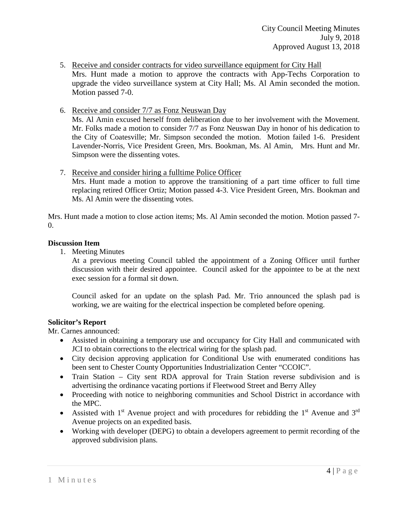- 5. Receive and consider contracts for video surveillance equipment for City Hall Mrs. Hunt made a motion to approve the contracts with App-Techs Corporation to upgrade the video surveillance system at City Hall; Ms. Al Amin seconded the motion. Motion passed 7-0.
- 6. Receive and consider 7/7 as Fonz Neuswan Day

Ms. Al Amin excused herself from deliberation due to her involvement with the Movement. Mr. Folks made a motion to consider 7/7 as Fonz Neuswan Day in honor of his dedication to the City of Coatesville; Mr. Simpson seconded the motion. Motion failed 1-6. President Lavender-Norris, Vice President Green, Mrs. Bookman, Ms. Al Amin, Mrs. Hunt and Mr. Simpson were the dissenting votes.

7. Receive and consider hiring a fulltime Police Officer

Mrs. Hunt made a motion to approve the transitioning of a part time officer to full time replacing retired Officer Ortiz; Motion passed 4-3. Vice President Green, Mrs. Bookman and Ms. Al Amin were the dissenting votes.

Mrs. Hunt made a motion to close action items; Ms. Al Amin seconded the motion. Motion passed 7- 0.

#### **Discussion Item**

1. Meeting Minutes

At a previous meeting Council tabled the appointment of a Zoning Officer until further discussion with their desired appointee. Council asked for the appointee to be at the next exec session for a formal sit down.

Council asked for an update on the splash Pad. Mr. Trio announced the splash pad is working, we are waiting for the electrical inspection be completed before opening.

# **Solicitor's Report**

Mr. Carnes announced:

- Assisted in obtaining a temporary use and occupancy for City Hall and communicated with JCI to obtain corrections to the electrical wiring for the splash pad.
- City decision approving application for Conditional Use with enumerated conditions has been sent to Chester County Opportunities Industrialization Center "CCOIC".
- Train Station City sent RDA approval for Train Station reverse subdivision and is advertising the ordinance vacating portions if Fleetwood Street and Berry Alley
- Proceeding with notice to neighboring communities and School District in accordance with the MPC.
- Assisted with 1<sup>st</sup> Avenue project and with procedures for rebidding the 1<sup>st</sup> Avenue and 3<sup>rd</sup> Avenue projects on an expedited basis.
- Working with developer (DEPG) to obtain a developers agreement to permit recording of the approved subdivision plans.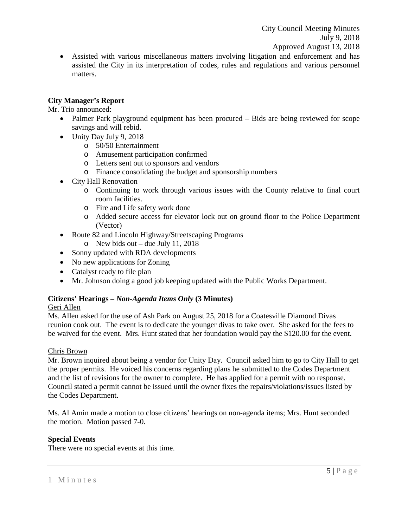• Assisted with various miscellaneous matters involving litigation and enforcement and has assisted the City in its interpretation of codes, rules and regulations and various personnel matters.

# **City Manager's Report**

Mr. Trio announced:

- Palmer Park playground equipment has been procured Bids are being reviewed for scope savings and will rebid.
- Unity Day July 9, 2018
	- o 50/50 Entertainment
	- o Amusement participation confirmed
	- o Letters sent out to sponsors and vendors
	- o Finance consolidating the budget and sponsorship numbers
- City Hall Renovation
	- o Continuing to work through various issues with the County relative to final court room facilities.
	- o Fire and Life safety work done
	- o Added secure access for elevator lock out on ground floor to the Police Department (Vector)
- Route 82 and Lincoln Highway/Streetscaping Programs
	- $\circ$  New bids out due July 11, 2018
- Sonny updated with RDA developments
- No new applications for Zoning
- Catalyst ready to file plan
- Mr. Johnson doing a good job keeping updated with the Public Works Department.

# **Citizens' Hearings –** *Non-Agenda Items Only* **(3 Minutes)**

# Geri Allen

Ms. Allen asked for the use of Ash Park on August 25, 2018 for a Coatesville Diamond Divas reunion cook out. The event is to dedicate the younger divas to take over. She asked for the fees to be waived for the event. Mrs. Hunt stated that her foundation would pay the \$120.00 for the event.

#### Chris Brown

Mr. Brown inquired about being a vendor for Unity Day. Council asked him to go to City Hall to get the proper permits. He voiced his concerns regarding plans he submitted to the Codes Department and the list of revisions for the owner to complete. He has applied for a permit with no response. Council stated a permit cannot be issued until the owner fixes the repairs/violations/issues listed by the Codes Department.

Ms. Al Amin made a motion to close citizens' hearings on non-agenda items; Mrs. Hunt seconded the motion. Motion passed 7-0.

# **Special Events**

There were no special events at this time.